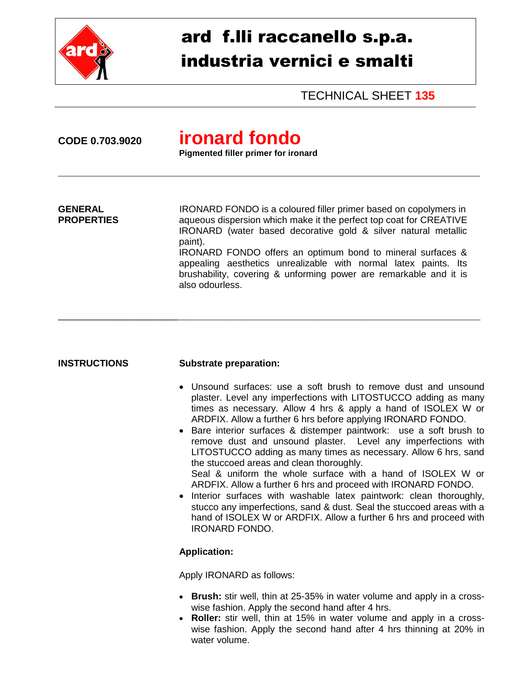

## ard f.lli raccanello s.p.a. industria vernici e smalti

TECHNICAL SHEET **135**

# **CODE 0.703.9020 ironard fondo**

**Pigmented filler primer for ironard**

**GENERAL** IRONARD FONDO is a coloured filler primer based on copolymers in **PROPERTIES** aqueous dispersion which make it the perfect top coat for CREATIVE IRONARD (water based decorative gold & silver natural metallic paint). IRONARD FONDO offers an optimum bond to mineral surfaces &

**\_\_\_\_\_\_\_\_\_\_\_\_\_\_\_\_\_\_\_\_\_\_\_\_\_\_\_\_**\_\_\_\_\_\_\_\_\_\_\_\_\_\_\_\_\_\_\_\_\_\_\_\_\_\_\_\_\_\_\_\_\_\_\_\_\_\_\_\_\_\_\_\_\_\_\_\_\_\_\_\_\_\_\_\_\_\_\_\_\_\_\_\_\_\_\_\_\_\_\_

\_\_\_\_\_\_\_\_\_\_\_\_\_\_\_\_\_\_\_\_\_\_\_\_\_\_\_\_\_\_\_\_\_\_\_\_\_\_\_\_\_\_\_\_\_\_\_\_\_\_\_\_\_\_\_\_\_\_\_\_\_\_\_\_\_\_\_\_\_\_\_\_\_\_\_\_\_\_\_\_\_\_\_\_\_\_\_\_\_\_\_\_\_\_\_\_\_\_\_

appealing aesthetics unrealizable with normal latex paints. Its brushability, covering & unforming power are remarkable and it is also odourless.

### **INSTRUCTIONS Substrate preparation:**

- Unsound surfaces: use a soft brush to remove dust and unsound plaster. Level any imperfections with LITOSTUCCO adding as many times as necessary. Allow 4 hrs & apply a hand of ISOLEX W or ARDFIX. Allow a further 6 hrs before applying IRONARD FONDO.
- Bare interior surfaces & distemper paintwork: use a soft brush to remove dust and unsound plaster. Level any imperfections with LITOSTUCCO adding as many times as necessary. Allow 6 hrs, sand the stuccoed areas and clean thoroughly. Seal & uniform the whole surface with a hand of ISOLEX W or ARDFIX. Allow a further 6 hrs and proceed with IRONARD FONDO.
- Interior surfaces with washable latex paintwork: clean thoroughly, stucco any imperfections, sand & dust. Seal the stuccoed areas with a hand of ISOLEX W or ARDFIX. Allow a further 6 hrs and proceed with IRONARD FONDO.

### **Application:**

Apply IRONARD as follows:

- **Brush:** stir well, thin at 25-35% in water volume and apply in a crosswise fashion. Apply the second hand after 4 hrs.
- **Roller:** stir well, thin at 15% in water volume and apply in a crosswise fashion. Apply the second hand after 4 hrs thinning at 20% in water volume.